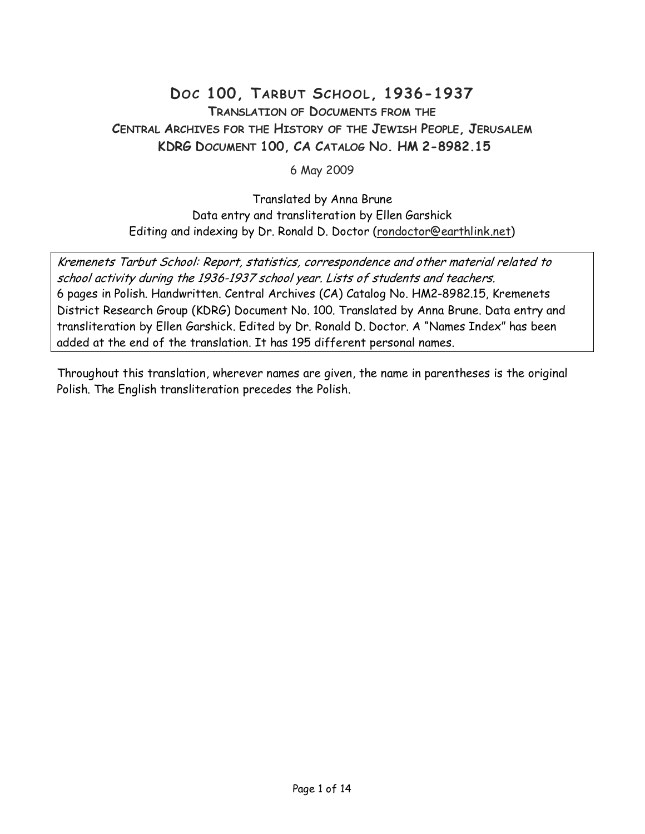### Doc 100, TARBUT SCHOOL, 1936-1937 TRANSLATION OF DOCUMENTS FROM THE CENTRAL ARCHIVES FOR THE HISTORY OF THE JEWISH PEOPLE, JERUSALEM KDRG DOCUMENT 100, CA CATALOG NO. HM 2-8982.15

6 May 2009

Translated by Anna Brune Data entry and transliteration by Ellen Garshick Editing and indexing by Dr. Ronald D. Doctor (rondoctor@earthlink.net)

Kremenets Tarbut School: Report, statistics, correspondence and other material related to school activity during the 1936-1937 school year. Lists of students and teachers. 6 pages in Polish. Handwritten. Central Archives (CA) Catalog No. HM2-8982.15, Kremenets District Research Group (KDRG) Document No. 100. Translated by Anna Brune. Data entry and transliteration by Ellen Garshick. Edited by Dr. Ronald D. Doctor. A "Names Index" has been added at the end of the translation. It has 195 different personal names.

Throughout this translation, wherever names are given, the name in parentheses is the original Polish. The English transliteration precedes the Polish.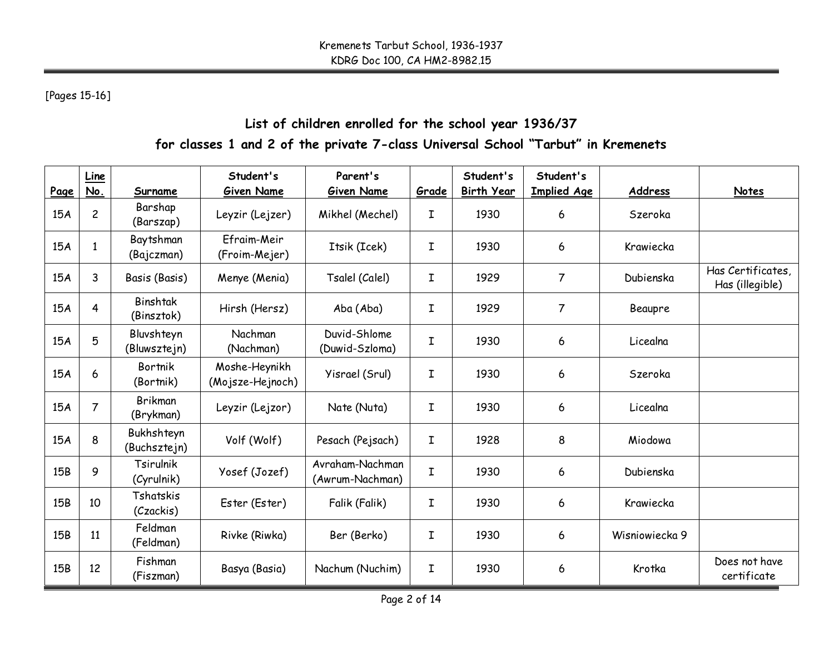[Pages 15-16]

# List of children enrolled for the school year 1936/37 for classes 1 and 2 of the private 7-class Universal School "Tarbut" in Kremenets

| Page | Line<br>No.    | Surname                     | Student's<br>Given Name           | Parent's<br>Given Name             | Grade       | Student's<br><b>Birth Year</b> | Student's<br><b>Implied Age</b> | Address        | Notes                                |
|------|----------------|-----------------------------|-----------------------------------|------------------------------------|-------------|--------------------------------|---------------------------------|----------------|--------------------------------------|
| 15A  | $\overline{c}$ | Barshap<br>(Barszap)        | Leyzir (Lejzer)                   | Mikhel (Mechel)                    | I           | 1930                           | 6                               | Szeroka        |                                      |
| 15A  | 1              | Baytshman<br>(Bajczman)     | Efraim-Meir<br>(Froim-Mejer)      | Itsik (Icek)                       | I           | 1930                           | 6                               | Krawiecka      |                                      |
| 15A  | 3              | Basis (Basis)               | Menye (Menia)                     | Tsalel (Calel)                     | $\mathbf I$ | 1929                           | 7                               | Dubienska      | Has Certificates,<br>Has (illegible) |
| 15A  | $\overline{4}$ | Binshtak<br>(Binsztok)      | Hirsh (Hersz)                     | Aba (Aba)                          | I           | 1929                           | $\overline{7}$                  | Beaupre        |                                      |
| 15A  | 5              | Bluvshteyn<br>(Bluwsztejn)  | Nachman<br>(Nachman)              | Duvid-Shlome<br>(Duwid-Szloma)     | I           | 1930                           | 6                               | Licealna       |                                      |
| 15A  | 6              | <b>Bortnik</b><br>(Bortnik) | Moshe-Heynikh<br>(Mojsze-Hejnoch) | Yisrael (Srul)                     | I           | 1930                           | 6                               | Szeroka        |                                      |
| 15A  | $\overline{7}$ | Brikman<br>(Brykman)        | Leyzir (Lejzor)                   | Nate (Nuta)                        | I           | 1930                           | 6                               | Licealna       |                                      |
| 15A  | 8              | Bukhshteyn<br>(Buchsztejn)  | Volf (Wolf)                       | Pesach (Pejsach)                   | $\mathbf I$ | 1928                           | 8                               | Miodowa        |                                      |
| 15B  | 9              | Tsirulnik<br>(Cyrulnik)     | Yosef (Jozef)                     | Avraham-Nachman<br>(Awrum-Nachman) | I           | 1930                           | 6                               | Dubienska      |                                      |
| 15B  | 10             | Tshatskis<br>(Czackis)      | Ester (Ester)                     | Falik (Falik)                      | I           | 1930                           | 6                               | Krawiecka      |                                      |
| 15B  | 11             | Feldman<br>(Feldman)        | Rivke (Riwka)                     | Ber (Berko)                        | I           | 1930                           | 6                               | Wisniowiecka 9 |                                      |
| 15B  | 12             | Fishman<br>(Fiszman)        | Basya (Basia)                     | Nachum (Nuchim)                    | I           | 1930                           | 6                               | Krotka         | Does not have<br>certificate         |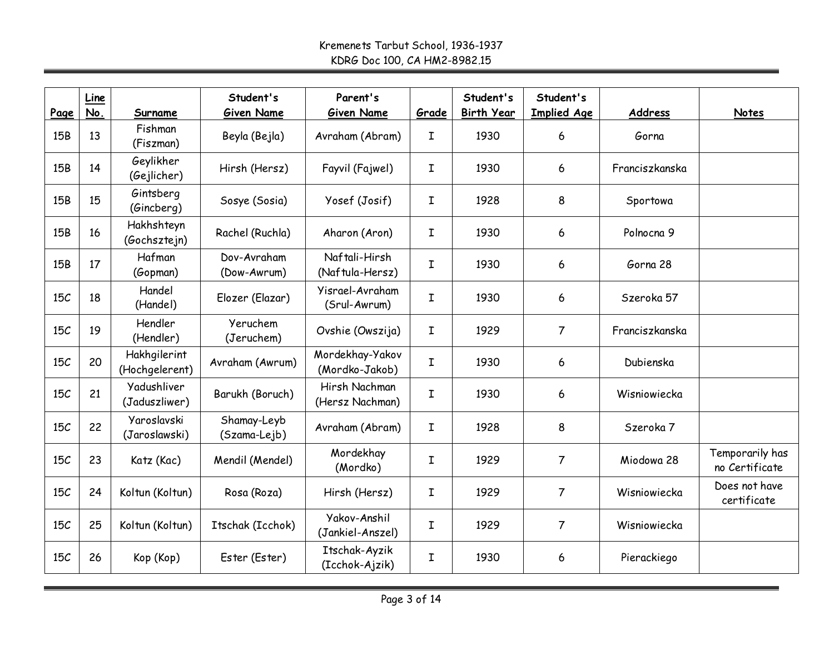| Page | Line<br>No. | Surname                        | Student's<br>Given Name     | Parent's<br>Given Name            | Grade       | Student's<br><b>Birth Year</b> | Student's<br><b>Implied Age</b> | Address        | <b>Notes</b>                      |
|------|-------------|--------------------------------|-----------------------------|-----------------------------------|-------------|--------------------------------|---------------------------------|----------------|-----------------------------------|
| 15B  | 13          | Fishman<br>(Fiszman)           | Beyla (Bejla)               | Avraham (Abram)                   | I           | 1930                           | 6                               | Gorna          |                                   |
| 15B  | 14          | Geylikher<br>(Gejlicher)       | Hirsh (Hersz)               | Fayvil (Fajwel)                   | I           | 1930                           | 6                               | Franciszkanska |                                   |
| 15B  | 15          | Gintsberg<br>(Gincberg)        | Sosye (Sosia)               | Yosef (Josif)                     | I           | 1928                           | 8                               | Sportowa       |                                   |
| 15B  | 16          | Hakhshteyn<br>(Gochsztejn)     | Rachel (Ruchla)             | Aharon (Aron)                     | I           | 1930                           | 6                               | Polnocna 9     |                                   |
| 15B  | 17          | Hafman<br>(Gopman)             | Dov-Avraham<br>(Dow-Awrum)  | Naftali-Hirsh<br>(Naftula-Hersz)  | $\mathbf I$ | 1930                           | 6                               | Gorna 28       |                                   |
| 15C  | 18          | Handel<br>(Handel)             | Elozer (Elazar)             | Yisrael-Avraham<br>(Srul-Awrum)   | $\mathbf I$ | 1930                           | 6                               | Szeroka 57     |                                   |
| 15C  | 19          | Hendler<br>(Hendler)           | Yeruchem<br>(Jeruchem)      | Ovshie (Owszija)                  | $\mathbf I$ | 1929                           | $\overline{7}$                  | Franciszkanska |                                   |
| 15C  | 20          | Hakhgilerint<br>(Hochgelerent) | Avraham (Awrum)             | Mordekhay-Yakov<br>(Mordko-Jakob) | $\mathbf I$ | 1930                           | 6                               | Dubienska      |                                   |
| 15C  | 21          | Yadushliver<br>(Jaduszliwer)   | Barukh (Boruch)             | Hirsh Nachman<br>(Hersz Nachman)  | $\mathbf I$ | 1930                           | 6                               | Wisniowiecka   |                                   |
| 15C  | 22          | Yaroslavski<br>(Jaroslawski)   | Shamay-Leyb<br>(Szama-Lejb) | Avraham (Abram)                   | $\mathbf I$ | 1928                           | 8                               | Szeroka 7      |                                   |
| 15C  | 23          | Katz (Kac)                     | Mendil (Mendel)             | Mordekhay<br>(Mordko)             | $\mathbf I$ | 1929                           | $\overline{7}$                  | Miodowa 28     | Temporarily has<br>no Certificate |
| 15C  | 24          | Koltun (Koltun)                | Rosa (Roza)                 | Hirsh (Hersz)                     | I           | 1929                           | $\overline{7}$                  | Wisniowiecka   | Does not have<br>certificate      |
| 15C  | 25          | Koltun (Koltun)                | Itschak (Icchok)            | Yakov-Anshil<br>(Jankiel-Anszel)  | I           | 1929                           | $\overline{7}$                  | Wisniowiecka   |                                   |
| 15C  | 26          | Kop (Kop)                      | Ester (Ester)               | Itschak-Ayzik<br>(Icchok-Ajzik)   | I           | 1930                           | 6                               | Pierackiego    |                                   |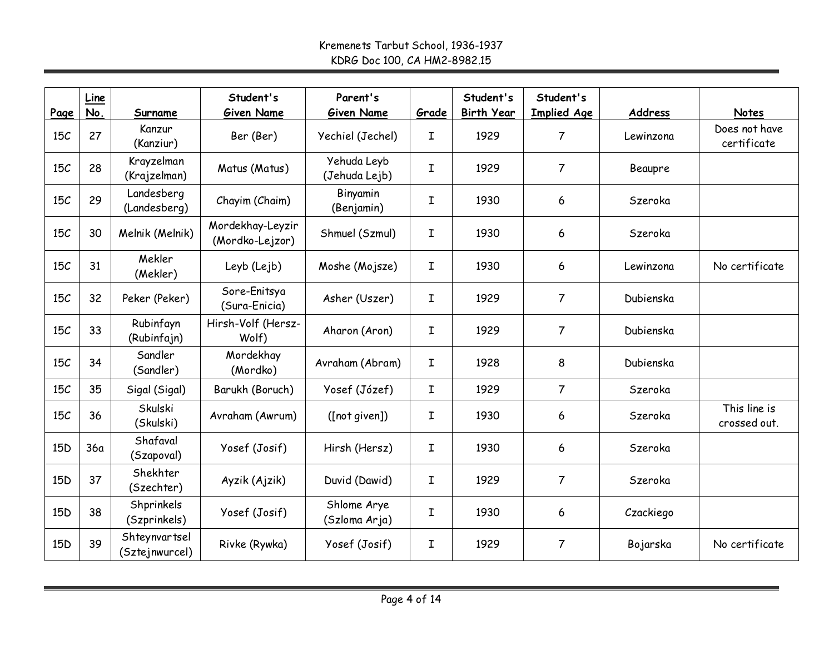|                 | Line |                                 | Student's                           | Parent's                     |             | Student's         | Student's          |           |                              |
|-----------------|------|---------------------------------|-------------------------------------|------------------------------|-------------|-------------------|--------------------|-----------|------------------------------|
| Page            | No.  | Surname                         | <b>Given Name</b>                   | <b>Given Name</b>            | Grade       | <b>Birth Year</b> | <b>Implied Age</b> | Address   | <b>Notes</b>                 |
| 15C             | 27   | Kanzur<br>(Kanziur)             | Ber (Ber)                           | Yechiel (Jechel)             | I           | 1929              | $\overline{7}$     | Lewinzona | Does not have<br>certificate |
| 15C             | 28   | Krayzelman<br>(Krajzelman)      | Matus (Matus)                       | Yehuda Leyb<br>(Jehuda Lejb) | $\mathbf I$ | 1929              | $\overline{7}$     | Beaupre   |                              |
| 15C             | 29   | Landesberg<br>(Landesberg)      | Chayim (Chaim)                      | Binyamin<br>(Benjamin)       | $\mathbf I$ | 1930              | 6                  | Szeroka   |                              |
| 15C             | 30   | Melnik (Melnik)                 | Mordekhay-Leyzir<br>(Mordko-Lejzor) | Shmuel (Szmul)               | I           | 1930              | 6                  | Szeroka   |                              |
| 15C             | 31   | Mekler<br>(Mekler)              | Leyb (Lejb)                         | Moshe (Mojsze)               | I           | 1930              | 6                  | Lewinzona | No certificate               |
| 15C             | 32   | Peker (Peker)                   | Sore-Enitsya<br>(Sura-Enicia)       | Asher (Uszer)                | $\mathbf I$ | 1929              | 7                  | Dubienska |                              |
| 15C             | 33   | Rubinfayn<br>(Rubinfajn)        | Hirsh-Volf (Hersz-<br>Wolf)         | Aharon (Aron)                | $\mathbf I$ | 1929              | $\overline{7}$     | Dubienska |                              |
| 15C             | 34   | Sandler<br>(Sandler)            | Mordekhay<br>(Mordko)               | Avraham (Abram)              | I           | 1928              | 8                  | Dubienska |                              |
| 15C             | 35   | Sigal (Sigal)                   | Barukh (Boruch)                     | Yosef (Józef)                | I           | 1929              | $\overline{7}$     | Szeroka   |                              |
| 15C             | 36   | Skulski<br>(Skulski)            | Avraham (Awrum)                     | ([not given])                | I           | 1930              | 6                  | Szeroka   | This line is<br>crossed out. |
| 15 <sub>D</sub> | 36a  | Shafaval<br>(Szapoval)          | Yosef (Josif)                       | Hirsh (Hersz)                | I           | 1930              | 6                  | Szeroka   |                              |
| 15 <sub>D</sub> | 37   | Shekhter<br>(Szechter)          | Ayzik (Ajzik)                       | Duvid (Dawid)                | I           | 1929              | $\overline{7}$     | Szeroka   |                              |
| 15 <sub>D</sub> | 38   | Shprinkels<br>(Szprinkels)      | Yosef (Josif)                       | Shlome Arye<br>(Szloma Arja) | $\mathbf I$ | 1930              | 6                  | Czackiego |                              |
| 15 <sub>D</sub> | 39   | Shteynvartsel<br>(Sztejnwurcel) | Rivke (Rywka)                       | Yosef (Josif)                | I           | 1929              | $\overline{7}$     | Bojarska  | No certificate               |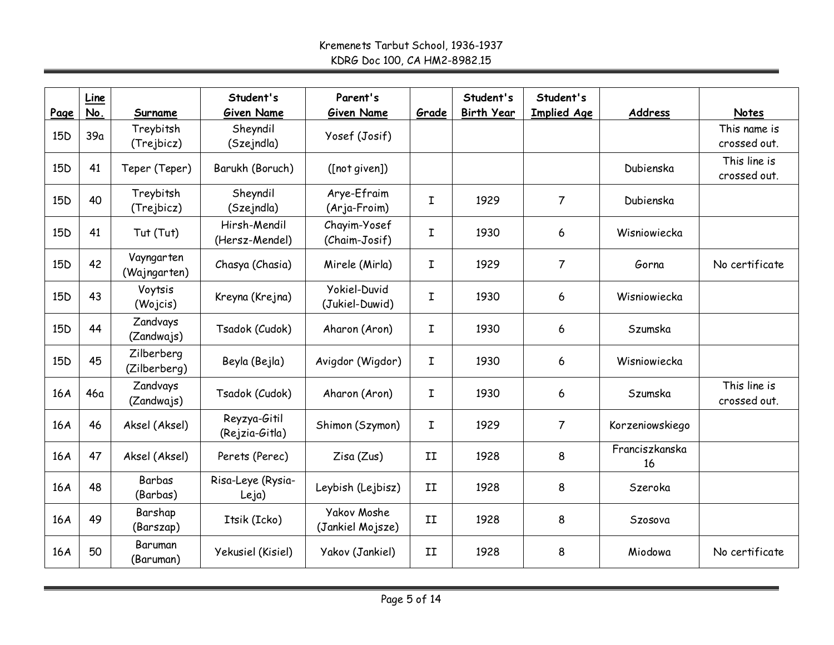| Page            | Line<br>No. | Surname                    | Student's<br><b>Given Name</b> | Parent's<br>Given Name                | Grade | Student's<br><b>Birth Year</b> | Student's<br><b>Implied Age</b> | Address              | <b>Notes</b>                 |
|-----------------|-------------|----------------------------|--------------------------------|---------------------------------------|-------|--------------------------------|---------------------------------|----------------------|------------------------------|
| 15 <sub>D</sub> | 39a         | Treybitsh<br>(Trejbicz)    | Sheyndil<br>(Szejndla)         | Yosef (Josif)                         |       |                                |                                 |                      | This name is<br>crossed out. |
| 15 <sub>D</sub> | 41          | Teper (Teper)              | Barukh (Boruch)                | ([not given])                         |       |                                |                                 | Dubienska            | This line is<br>crossed out. |
| 15 <sub>D</sub> | 40          | Treybitsh<br>(Trejbicz)    | Sheyndil<br>(Szejndla)         | Arye-Efraim<br>(Arja-Froim)           | I     | 1929                           | $\overline{7}$                  | Dubienska            |                              |
| 15 <sub>D</sub> | 41          | Tut (Tut)                  | Hirsh-Mendil<br>(Hersz-Mendel) | Chayim-Yosef<br>(Chaim-Josif)         | I     | 1930                           | 6                               | Wisniowiecka         |                              |
| 15 <sub>D</sub> | 42          | Vayngarten<br>(Wajngarten) | Chasya (Chasia)                | Mirele (Mirla)                        | I     | 1929                           | $\overline{7}$                  | Gorna                | No certificate               |
| 15 <sub>D</sub> | 43          | Voytsis<br>(Wojcis)        | Kreyna (Krejna)                | <b>Yokiel-Duvid</b><br>(Jukiel-Duwid) | Ι     | 1930                           | 6                               | Wisniowiecka         |                              |
| 15 <sub>D</sub> | 44          | Zandvays<br>(Zandwajs)     | Tsadok (Cudok)                 | Aharon (Aron)                         | I     | 1930                           | 6                               | Szumska              |                              |
| 15 <sub>D</sub> | 45          | Zilberberg<br>(Zilberberg) | Beyla (Bejla)                  | Avigdor (Wigdor)                      | I     | 1930                           | 6                               | Wisniowiecka         |                              |
| 16A             | 46α         | Zandvays<br>(Zandwajs)     | Tsadok (Cudok)                 | Aharon (Aron)                         | I     | 1930                           | 6                               | Szumska              | This line is<br>crossed out. |
| 16A             | 46          | Aksel (Aksel)              | Reyzya-Gitil<br>(Rejzia-Gitla) | Shimon (Szymon)                       | I     | 1929                           | $\overline{7}$                  | Korzeniowskiego      |                              |
| 16A             | 47          | Aksel (Aksel)              | Perets (Perec)                 | Zisa (Zus)                            | II    | 1928                           | 8                               | Franciszkanska<br>16 |                              |
| 16A             | 48          | Barbas<br>(Barbas)         | Risa-Leye (Rysia-<br>Leja)     | Leybish (Lejbisz)                     | II    | 1928                           | 8                               | Szeroka              |                              |
| 16A             | 49          | Barshap<br>(Barszap)       | Itsik (Icko)                   | Yakov Moshe<br>(Jankiel Mojsze)       | II    | 1928                           | 8                               | Szosova              |                              |
| 16A             | 50          | Baruman<br>(Baruman)       | Yekusiel (Kisiel)              | Yakov (Jankiel)                       | II    | 1928                           | 8                               | Miodowa              | No certificate               |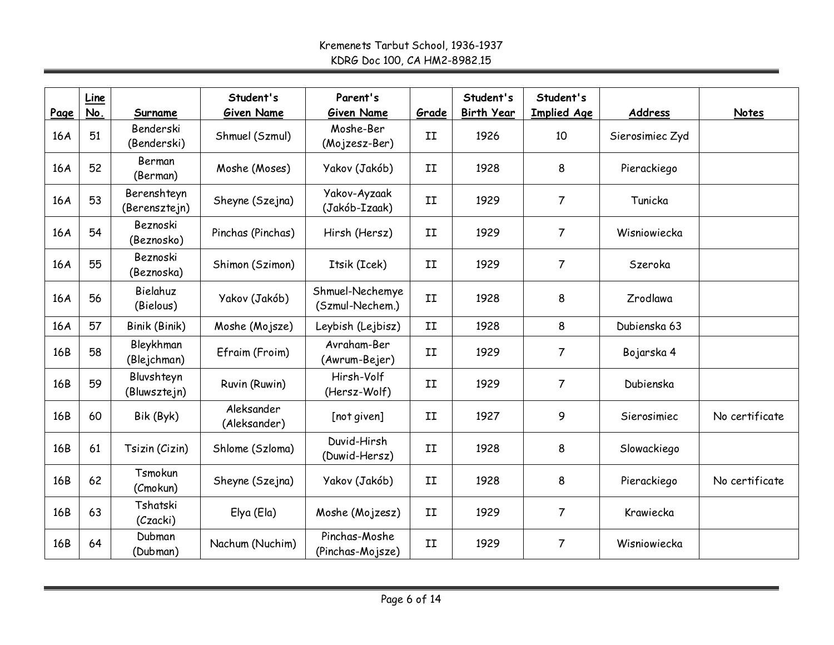| Page | Line<br>No. | Surname                      | Student's<br>Given Name    | Parent's<br>Given Name             | Grade         | Student's<br><b>Birth Year</b> | Student's<br><b>Implied Age</b> | <b>Address</b>  | <b>Notes</b>   |
|------|-------------|------------------------------|----------------------------|------------------------------------|---------------|--------------------------------|---------------------------------|-----------------|----------------|
| 16A  | 51          | Benderski<br>(Benderski)     | Shmuel (Szmul)             | Moshe-Ber<br>(Mojzesz-Ber)         | II            | 1926                           | 10                              | Sierosimiec Zyd |                |
| 16A  | 52          | Berman<br>(Berman)           | Moshe (Moses)              | Yakov (Jakób)                      | II            | 1928                           | 8                               | Pierackiego     |                |
| 16A  | 53          | Berenshteyn<br>(Berensztejn) | Sheyne (Szejna)            | Yakov-Ayzaak<br>(Jakób-Izaak)      | II            | 1929                           | $\overline{7}$                  | Tunicka         |                |
| 16A  | 54          | Beznoski<br>(Beznosko)       | Pinchas (Pinchas)          | Hirsh (Hersz)                      | II            | 1929                           | $\overline{7}$                  | Wisniowiecka    |                |
| 16A  | 55          | Beznoski<br>(Beznoska)       | Shimon (Szimon)            | Itsik (Icek)                       | II            | 1929                           | $\overline{7}$                  | Szeroka         |                |
| 16A  | 56          | Bielahuz<br>(Bielous)        | Yakov (Jakób)              | Shmuel-Nechemye<br>(Szmul-Nechem.) | $\mathtt{II}$ | 1928                           | 8                               | Zrodlawa        |                |
| 16A  | 57          | Binik (Binik)                | Moshe (Mojsze)             | Leybish (Lejbisz)                  | II            | 1928                           | 8                               | Dubienska 63    |                |
| 16B  | 58          | Bleykhman<br>(Blejchman)     | Efraim (Froim)             | Avraham-Ber<br>(Awrum-Bejer)       | II            | 1929                           | $\overline{7}$                  | Bojarska 4      |                |
| 16B  | 59          | Bluvshteyn<br>(Bluwsztejn)   | Ruvin (Ruwin)              | Hirsh-Volf<br>(Hersz-Wolf)         | II            | 1929                           | $\overline{7}$                  | Dubienska       |                |
| 16B  | 60          | Bik (Byk)                    | Aleksander<br>(Aleksander) | [not given]                        | II            | 1927                           | 9                               | Sierosimiec     | No certificate |
| 16B  | 61          | Tsizin (Cizin)               | Shlome (Szloma)            | Duvid-Hirsh<br>(Duwid-Hersz)       | II            | 1928                           | 8                               | Slowackiego     |                |
| 16B  | 62          | Tsmokun<br>(Cmokun)          | Sheyne (Szejna)            | Yakov (Jakób)                      | II            | 1928                           | 8                               | Pierackiego     | No certificate |
| 16B  | 63          | Tshatski<br>(Czacki)         | Elya (Ela)                 | Moshe (Mojzesz)                    | II            | 1929                           | $\overline{7}$                  | Krawiecka       |                |
| 16B  | 64          | Dubman<br>(Dubman)           | Nachum (Nuchim)            | Pinchas-Moshe<br>(Pinchas-Mojsze)  | II            | 1929                           | 7                               | Wisniowiecka    |                |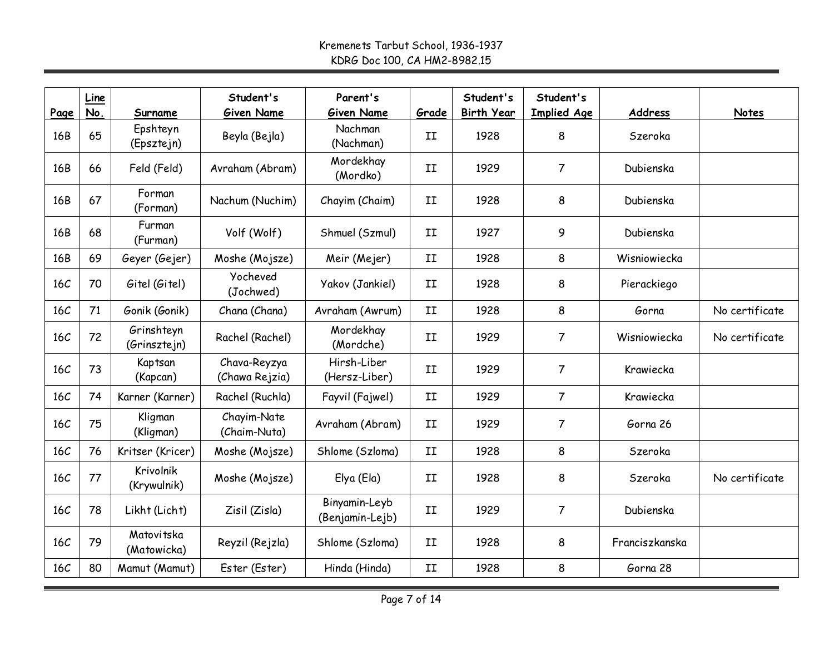| Page | Line<br>No. | Surname                         | Student's<br>Given Name        | Parent's<br><b>Given Name</b>    | Grade         | Student's<br><b>Birth Year</b> | Student's<br><b>Implied Age</b> | Address        | <b>Notes</b>   |
|------|-------------|---------------------------------|--------------------------------|----------------------------------|---------------|--------------------------------|---------------------------------|----------------|----------------|
| 16B  | 65          | Epshteyn<br>(Epsztejn)          | Beyla (Bejla)                  | Nachman<br>(Nachman)             | II            | 1928                           | 8                               | Szeroka        |                |
| 16B  | 66          | Feld (Feld)                     | Avraham (Abram)                | Mordekhay<br>(Mordko)            | II            | 1929                           | $\overline{7}$                  | Dubienska      |                |
| 16B  | 67          | Forman<br>(Forman)              | Nachum (Nuchim)                | Chayim (Chaim)                   | II            | 1928                           | 8                               | Dubienska      |                |
| 16B  | 68          | Furman<br>(Furman)              | Volf (Wolf)                    | Shmuel (Szmul)                   | II            | 1927                           | 9                               | Dubienska      |                |
| 16B  | 69          | Geyer (Gejer)                   | Moshe (Mojsze)                 | Meir (Mejer)                     | $\mathtt{II}$ | 1928                           | 8                               | Wisniowiecka   |                |
| 16C  | 70          | Gitel (Gitel)                   | Yocheved<br>(Jochwed)          | Yakov (Jankiel)                  | II            | 1928                           | 8                               | Pierackiego    |                |
| 16C  | 71          | Gonik (Gonik)                   | Chana (Chana)                  | Avraham (Awrum)                  | II            | 1928                           | 8                               | Gorna          | No certificate |
| 16C  | 72          | Grinshteyn<br>(Grinsztejn)      | Rachel (Rachel)                | Mordekhay<br>(Mordche)           | II            | 1929                           | 7                               | Wisniowiecka   | No certificate |
| 16C  | 73          | Kaptsan<br>(Kapcan)             | Chava-Reyzya<br>(Chawa Rejzia) | Hirsh-Liber<br>(Hersz-Liber)     | II            | 1929                           | $\overline{7}$                  | Krawiecka      |                |
| 16C  | 74          | Karner (Karner)                 | Rachel (Ruchla)                | Fayvil (Fajwel)                  | II            | 1929                           | $\overline{7}$                  | Krawiecka      |                |
| 16C  | 75          | Kligman<br>(Kligman)            | Chayim-Nate<br>(Chaim-Nuta)    | Avraham (Abram)                  | II            | 1929                           | $\overline{7}$                  | Gorna 26       |                |
| 16C  | 76          | Kritser (Kricer)                | Moshe (Mojsze)                 | Shlome (Szloma)                  | II            | 1928                           | 8                               | Szeroka        |                |
| 16C  | 77          | <b>Krivolnik</b><br>(Krywulnik) | Moshe (Mojsze)                 | Elya (Ela)                       | II            | 1928                           | 8                               | Szeroka        | No certificate |
| 16C  | 78          | Likht (Licht)                   | Zisil (Zisla)                  | Binyamin-Leyb<br>(Benjamin-Lejb) | II            | 1929                           | $\overline{7}$                  | Dubienska      |                |
| 16C  | 79          | Matovitska<br>(Matowicka)       | Reyzil (Rejzla)                | Shlome (Szloma)                  | II            | 1928                           | 8                               | Franciszkanska |                |
| 16C  | 80          | Mamut (Mamut)                   | Ester (Ester)                  | Hinda (Hinda)                    | II            | 1928                           | 8                               | Gorna 28       |                |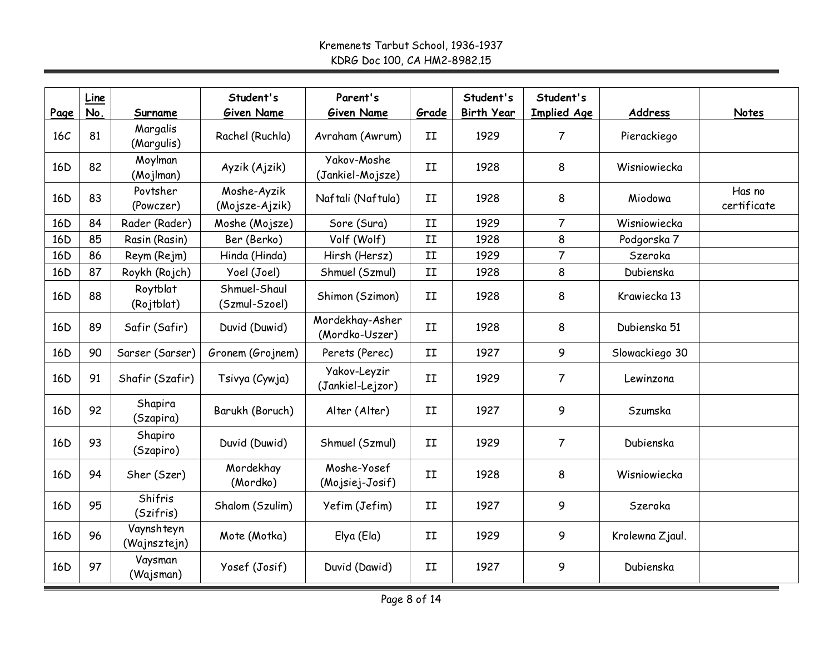| Page            | Line<br>No. | Surname                    | Student's<br>Given Name       | Parent's<br>Given Name            | Grade | Student's<br><b>Birth Year</b> | Student's<br><b>Implied Age</b> | <b>Address</b>  | <b>Notes</b>          |
|-----------------|-------------|----------------------------|-------------------------------|-----------------------------------|-------|--------------------------------|---------------------------------|-----------------|-----------------------|
| 16C             | 81          | Margalis<br>(Margulis)     | Rachel (Ruchla)               | Avraham (Awrum)                   | II    | 1929                           | $\overline{7}$                  | Pierackiego     |                       |
| 16 <sub>D</sub> | 82          | Moylman<br>(Mojlman)       | Ayzik (Ajzik)                 | Yakov-Moshe<br>(Jankiel-Mojsze)   | II    | 1928                           | 8                               | Wisniowiecka    |                       |
| 16 <sub>D</sub> | 83          | Povtsher<br>(Powczer)      | Moshe-Ayzik<br>(Mojsze-Ajzik) | Naftali (Naftula)                 | II    | 1928                           | 8                               | Miodowa         | Has no<br>certificate |
| 16 <sub>D</sub> | 84          | Rader (Rader)              | Moshe (Mojsze)                | Sore (Sura)                       | II    | 1929                           | $\overline{7}$                  | Wisniowiecka    |                       |
| 16 <sub>D</sub> | 85          | Rasin (Rasin)              | Ber (Berko)                   | Volf (Wolf)                       | II    | 1928                           | 8                               | Podgorska 7     |                       |
| 16 <sub>D</sub> | 86          | Reym (Rejm)                | Hinda (Hinda)                 | Hirsh (Hersz)                     | II    | 1929                           | $\overline{7}$                  | Szeroka         |                       |
| 16 <sub>D</sub> | 87          | Roykh (Rojch)              | Yoel (Joel)                   | Shmuel (Szmul)                    | II    | 1928                           | 8                               | Dubienska       |                       |
| 16 <sub>D</sub> | 88          | Roytblat<br>(Rojtblat)     | Shmuel-Shaul<br>(Szmul-Szoel) | Shimon (Szimon)                   | II    | 1928                           | 8                               | Krawiecka 13    |                       |
| 16 <sub>D</sub> | 89          | Safir (Safir)              | Duvid (Duwid)                 | Mordekhay-Asher<br>(Mordko-Uszer) | II    | 1928                           | 8                               | Dubienska 51    |                       |
| 16 <sub>D</sub> | 90          | Sarser (Sarser)            | Gronem (Grojnem)              | Perets (Perec)                    | II    | 1927                           | 9                               | Slowackiego 30  |                       |
| 16 <sub>D</sub> | 91          | Shafir (Szafir)            | Tsivya (Cywja)                | Yakov-Leyzir<br>(Jankiel-Lejzor)  | II    | 1929                           | 7                               | Lewinzona       |                       |
| 16 <sub>D</sub> | 92          | Shapira<br>(Szapira)       | Barukh (Boruch)               | Alter (Alter)                     | II    | 1927                           | 9                               | Szumska         |                       |
| 16 <sub>D</sub> | 93          | Shapiro<br>(Szapiro)       | Duvid (Duwid)                 | Shmuel (Szmul)                    | II    | 1929                           | $\overline{7}$                  | Dubienska       |                       |
| 16 <sub>D</sub> | 94          | Sher (Szer)                | Mordekhay<br>(Mordko)         | Moshe-Yosef<br>(Mojsiej-Josif)    | II    | 1928                           | 8                               | Wisniowiecka    |                       |
| 16 <sub>D</sub> | 95          | Shifris<br>(Szifris)       | Shalom (Szulim)               | Yefim (Jefim)                     | II    | 1927                           | 9                               | Szeroka         |                       |
| 16 <sub>D</sub> | 96          | Vaynshteyn<br>(Wajnsztejn) | Mote (Motka)                  | Elya (Ela)                        | II    | 1929                           | 9                               | Krolewna Zjaul. |                       |
| 16 <sub>D</sub> | 97          | Vaysman<br>(Wajsman)       | Yosef (Josif)                 | Duvid (Dawid)                     | II    | 1927                           | 9                               | Dubienska       |                       |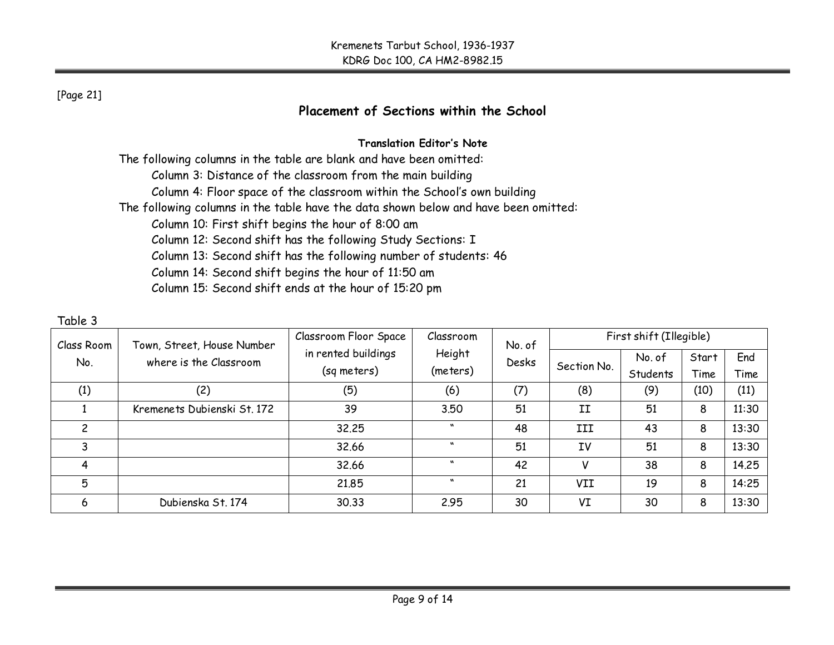#### [Page 21]

### Placement of Sections within the School

#### Translation Editor's Note

The following columns in the table are blank and have been omitted: Column 3: Distance of the classroom from the main building Column 4: Floor space of the classroom within the School's own building The following columns in the table have the data shown below and have been omitted: Column 10: First shift begins the hour of 8:00 am Column 12: Second shift has the following Study Sections: I Column 13: Second shift has the following number of students: 46 Column 14: Second shift begins the hour of 11:50 amColumn 15: Second shift ends at the hour of 15:20 pm

#### Table 3

| Class Room     | Town, Street, House Number  | Classroom Floor Space | Classroom                 | No. of | First shift (Illegible) |          |       |       |
|----------------|-----------------------------|-----------------------|---------------------------|--------|-------------------------|----------|-------|-------|
| No.            | where is the Classroom      | in rented buildings   | Height                    | Desks  | Section No.             | No. of   | Start | End   |
|                |                             | (sq meters)           | (meters)                  |        |                         | Students | Time  | Time  |
| (1)            | (2)                         | (5)                   | (6)                       | (7)    | (8)                     | (9)      | (10)  | (11)  |
|                | Kremenets Dubienski St. 172 | 39                    | 3.50                      | 51     | II                      | 51       | 8     | 11:30 |
| $\overline{c}$ |                             | 32,25                 | $\mathbf{u}$              | 48     | III                     | 43       | 8     | 13:30 |
| 3              |                             | 32.66                 | $\mathbf{u}$              | 51     | IV                      | 51       | 8     | 13:30 |
| 4              |                             | 32.66                 | $\boldsymbol{\mathsf{u}}$ | 42     | ۷                       | 38       | 8     | 14.25 |
| 5              |                             | 21.85                 | $\mathbf{u}$              | 21     | VII                     | 19       | 8     | 14:25 |
| 6              | Dubienska St. 174           | 30.33                 | 2.95                      | 30     | VI                      | 30       | 8     | 13:30 |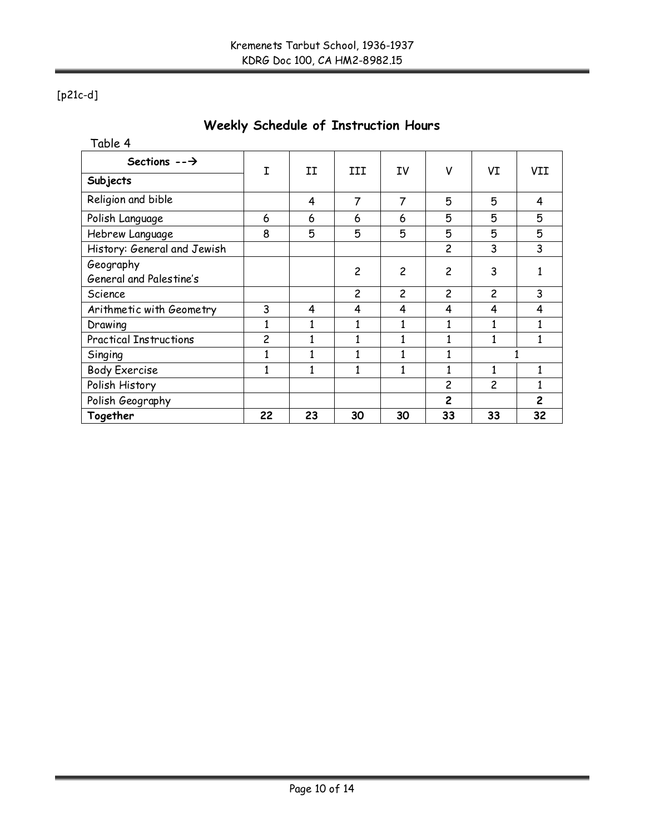### [p21c-d]

# Weekly Schedule of Instruction Hours

Table 4

| Sections $-\rightarrow$       | I              | II | III            | IV             | V              | VI             | VII            |
|-------------------------------|----------------|----|----------------|----------------|----------------|----------------|----------------|
| Subjects                      |                |    |                |                |                |                |                |
| Religion and bible            |                | 4  | 7              | 7              | 5              | 5              | 4              |
| Polish Language               | 6              | 6  | 6              | 6              | 5              | 5              | 5              |
| Hebrew Language               | 8              | 5  | 5              | 5              | 5              | 5              | 5              |
| History: General and Jewish   |                |    |                |                | $\overline{c}$ | 3              | 3              |
| Geography                     |                |    | $\overline{c}$ | $\overline{c}$ | 2              | 3              |                |
| General and Palestine's       |                |    |                |                |                |                |                |
| Science                       |                |    | $\overline{c}$ | $\overline{c}$ | $\mathcal{P}$  | $\overline{c}$ | 3              |
| Arithmetic with Geometry      | 3              | 4  | 4              | 4              | 4              | 4              | 4              |
| Drawing                       | 1              |    | 1              |                |                | 1              |                |
| <b>Practical Instructions</b> | $\overline{c}$ |    |                |                |                | 1              |                |
| Singing                       | 1              |    | 1              |                |                |                |                |
| <b>Body Exercise</b>          | 1              | 1  | $\mathbf{1}$   | 1              | 1              | 1              |                |
| Polish History                |                |    |                |                | $\overline{c}$ | $\overline{c}$ |                |
| Polish Geography              |                |    |                |                | $\overline{c}$ |                | $\overline{c}$ |
| Together                      | 22             | 23 | 30             | 30             | 33             | 33             | 32             |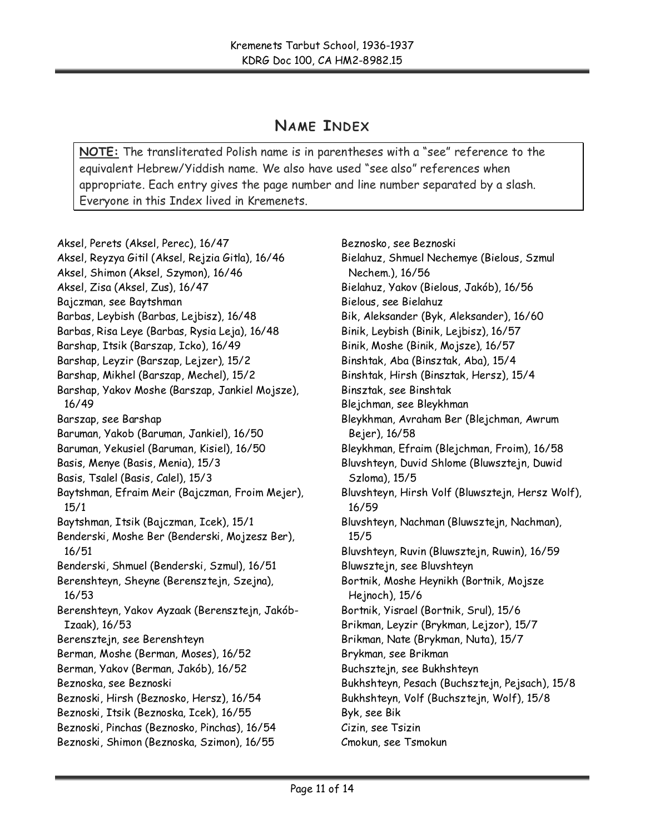## NAME INDEX

NOTE: The transliterated Polish name is in parentheses with a "see" reference to the equivalent Hebrew/Yiddish name. We also have used "see also" references when appropriate. Each entry gives the page number and line number separated by a slash. Everyone in this Index lived in Kremenets.

Aksel, Perets (Aksel, Perec), 16/47 Aksel, Reyzya Gitil (Aksel, Rejzia Gitla), 16/46 Aksel, Shimon (Aksel, Szymon), 16/46 Aksel, Zisa (Aksel, Zus), 16/47 Bajczman, see Baytshman Barbas, Leybish (Barbas, Lejbisz), 16/48 Barbas, Risa Leye (Barbas, Rysia Leja), 16/48 Barshap, Itsik (Barszap, Icko), 16/49 Barshap, Leyzir (Barszap, Lejzer), 15/2 Barshap, Mikhel (Barszap, Mechel), 15/2 Barshap, Yakov Moshe (Barszap, Jankiel Mojsze), 16/49 Barszap, see Barshap Baruman, Yakob (Baruman, Jankiel), 16/50 Baruman, Yekusiel (Baruman, Kisiel), 16/50 Basis, Menye (Basis, Menia), 15/3 Basis, Tsalel (Basis, Calel), 15/3 Baytshman, Efraim Meir (Bajczman, Froim Mejer), 15/1 Baytshman, Itsik (Bajczman, Icek), 15/1 Benderski, Moshe Ber (Benderski, Mojzesz Ber), 16/51 Benderski, Shmuel (Benderski, Szmul), 16/51 Berenshteyn, Sheyne (Berensztejn, Szejna), 16/53 Berenshteyn, Yakov Ayzaak (Berensztejn, Jakób-Izaak), 16/53 Berensztejn, see Berenshteyn Berman, Moshe (Berman, Moses), 16/52 Berman, Yakov (Berman, Jakób), 16/52 Beznoska, see Beznoski Beznoski, Hirsh (Beznosko, Hersz), 16/54 Beznoski, Itsik (Beznoska, Icek), 16/55 Beznoski, Pinchas (Beznosko, Pinchas), 16/54 Beznoski, Shimon (Beznoska, Szimon), 16/55

Beznosko, see Beznoski Bielahuz, Shmuel Nechemye (Bielous, Szmul Nechem.), 16/56 Bielahuz, Yakov (Bielous, Jakób), 16/56 Bielous, see Bielahuz Bik, Aleksander (Byk, Aleksander), 16/60 Binik, Leybish (Binik, Lejbisz), 16/57 Binik, Moshe (Binik, Mojsze), 16/57 Binshtak, Aba (Binsztak, Aba), 15/4 Binshtak, Hirsh (Binsztak, Hersz), 15/4 Binsztak, see Binshtak Blejchman, see Bleykhman Bleykhman, Avraham Ber (Blejchman, Awrum Bejer), 16/58 Bleykhman, Efraim (Blejchman, Froim), 16/58 Bluvshteyn, Duvid Shlome (Bluwsztejn, Duwid Szloma), 15/5 Bluvshteyn, Hirsh Volf (Bluwsztejn, Hersz Wolf), 16/59 Bluvshteyn, Nachman (Bluwsztejn, Nachman), 15/5 Bluvshteyn, Ruvin (Bluwsztejn, Ruwin), 16/59 Bluwsztejn, see Bluvshteyn Bortnik, Moshe Heynikh (Bortnik, Mojsze Hejnoch), 15/6 Bortnik, Yisrael (Bortnik, Srul), 15/6 Brikman, Leyzir (Brykman, Lejzor), 15/7 Brikman, Nate (Brykman, Nuta), 15/7 Brykman, see Brikman Buchsztejn, see Bukhshteyn Bukhshteyn, Pesach (Buchsztejn, Pejsach), 15/8 Bukhshteyn, Volf (Buchsztejn, Wolf), 15/8 Byk, see Bik Cizin, see Tsizin Cmokun, see Tsmokun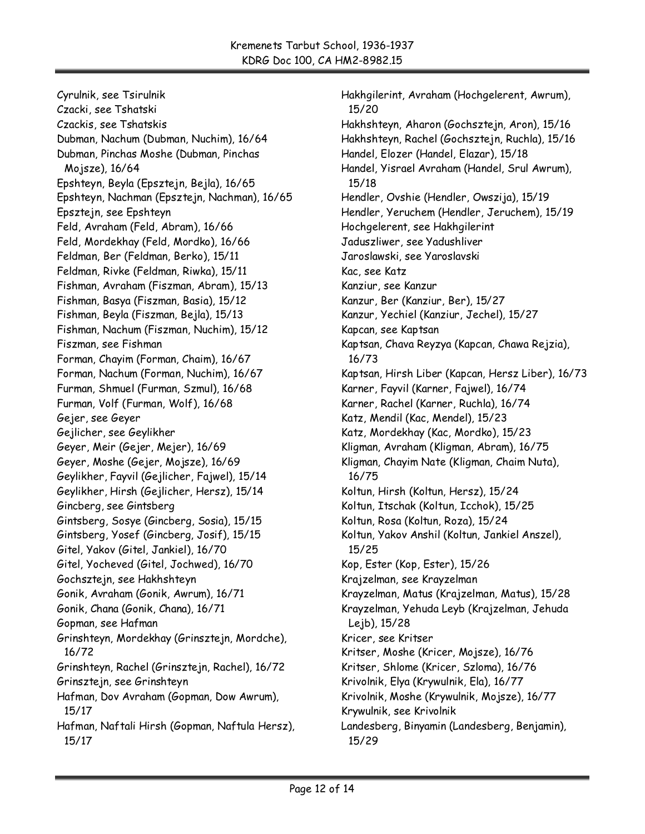Cyrulnik, see Tsirulnik Czacki, see Tshatski Czackis, see Tshatskis Dubman, Nachum (Dubman, Nuchim), 16/64 Dubman, Pinchas Moshe (Dubman, Pinchas Mojsze), 16/64 Epshteyn, Beyla (Epsztejn, Bejla), 16/65 Epshteyn, Nachman (Epsztejn, Nachman), 16/65 Epsztejn, see Epshteyn Feld, Avraham (Feld, Abram), 16/66 Feld, Mordekhay (Feld, Mordko), 16/66 Feldman, Ber (Feldman, Berko), 15/11 Feldman, Rivke (Feldman, Riwka), 15/11 Fishman, Avraham (Fiszman, Abram), 15/13 Fishman, Basya (Fiszman, Basia), 15/12 Fishman, Beyla (Fiszman, Bejla), 15/13 Fishman, Nachum (Fiszman, Nuchim), 15/12 Fiszman, see Fishman Forman, Chayim (Forman, Chaim), 16/67 Forman, Nachum (Forman, Nuchim), 16/67 Furman, Shmuel (Furman, Szmul), 16/68 Furman, Volf (Furman, Wolf), 16/68 Gejer, see Geyer Gejlicher, see Geylikher Geyer, Meir (Gejer, Mejer), 16/69 Geyer, Moshe (Gejer, Mojsze), 16/69 Geylikher, Fayvil (Gejlicher, Fajwel), 15/14 Geylikher, Hirsh (Gejlicher, Hersz), 15/14 Gincberg, see Gintsberg Gintsberg, Sosye (Gincberg, Sosia), 15/15 Gintsberg, Yosef (Gincberg, Josif), 15/15 Gitel, Yakov (Gitel, Jankiel), 16/70 Gitel, Yocheved (Gitel, Jochwed), 16/70 Gochsztejn, see Hakhshteyn Gonik, Avraham (Gonik, Awrum), 16/71 Gonik, Chana (Gonik, Chana), 16/71 Gopman, see Hafman Grinshteyn, Mordekhay (Grinsztejn, Mordche), 16/72 Grinshteyn, Rachel (Grinsztejn, Rachel), 16/72 Grinsztejn, see Grinshteyn Hafman, Dov Avraham (Gopman, Dow Awrum), 15/17 Hafman, Naftali Hirsh (Gopman, Naftula Hersz), 15/17

Hakhgilerint, Avraham (Hochgelerent, Awrum), 15/20 Hakhshteyn, Aharon (Gochsztejn, Aron), 15/16 Hakhshteyn, Rachel (Gochsztejn, Ruchla), 15/16 Handel, Elozer (Handel, Elazar), 15/18 Handel, Yisrael Avraham (Handel, Srul Awrum), 15/18 Hendler, Ovshie (Hendler, Owszija), 15/19 Hendler, Yeruchem (Hendler, Jeruchem), 15/19 Hochgelerent, see Hakhgilerint Jaduszliwer, see Yadushliver Jaroslawski, see Yaroslavski Kac, see Katz Kanziur, see Kanzur Kanzur, Ber (Kanziur, Ber), 15/27 Kanzur, Yechiel (Kanziur, Jechel), 15/27 Kapcan, see Kaptsan Kaptsan, Chava Reyzya (Kapcan, Chawa Rejzia), 16/73 Kaptsan, Hirsh Liber (Kapcan, Hersz Liber), 16/73 Karner, Fayvil (Karner, Fajwel), 16/74 Karner, Rachel (Karner, Ruchla), 16/74 Katz, Mendil (Kac, Mendel), 15/23 Katz, Mordekhay (Kac, Mordko), 15/23 Kligman, Avraham (Kligman, Abram), 16/75 Kligman, Chayim Nate (Kligman, Chaim Nuta), 16/75 Koltun, Hirsh (Koltun, Hersz), 15/24 Koltun, Itschak (Koltun, Icchok), 15/25 Koltun, Rosa (Koltun, Roza), 15/24 Koltun, Yakov Anshil (Koltun, Jankiel Anszel), 15/25 Kop, Ester (Kop, Ester), 15/26 Krajzelman, see Krayzelman Krayzelman, Matus (Krajzelman, Matus), 15/28 Krayzelman, Yehuda Leyb (Krajzelman, Jehuda Lejb), 15/28 Kricer, see Kritser Kritser, Moshe (Kricer, Mojsze), 16/76 Kritser, Shlome (Kricer, Szloma), 16/76 Krivolnik, Elya (Krywulnik, Ela), 16/77 Krivolnik, Moshe (Krywulnik, Mojsze), 16/77 Krywulnik, see Krivolnik Landesberg, Binyamin (Landesberg, Benjamin), 15/29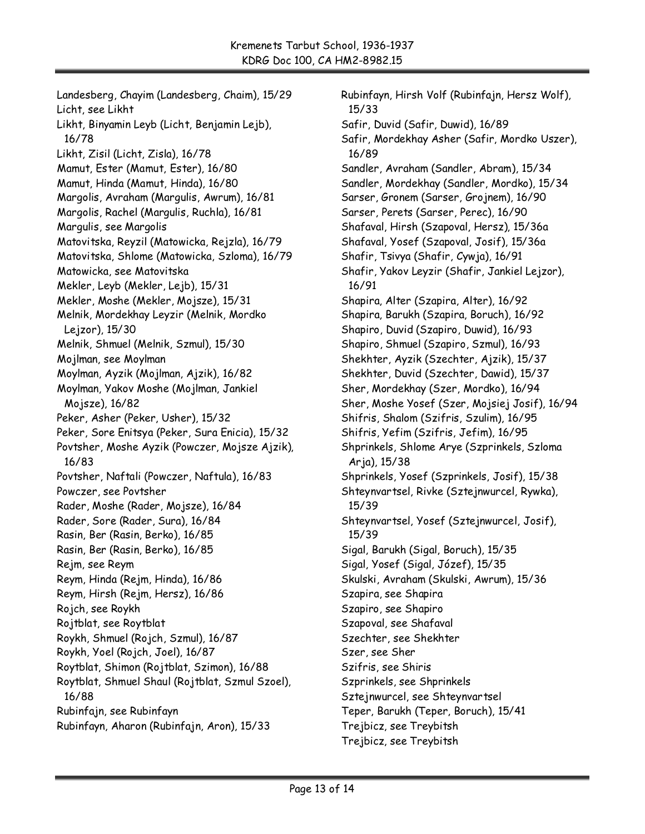Landesberg, Chayim (Landesberg, Chaim), 15/29 Licht, see Likht Likht, Binyamin Leyb (Licht, Benjamin Lejb), 16/78 Likht, Zisil (Licht, Zisla), 16/78 Mamut, Ester (Mamut, Ester), 16/80 Mamut, Hinda (Mamut, Hinda), 16/80 Margolis, Avraham (Margulis, Awrum), 16/81 Margolis, Rachel (Margulis, Ruchla), 16/81 Margulis, see Margolis Matovitska, Reyzil (Matowicka, Rejzla), 16/79 Matovitska, Shlome (Matowicka, Szloma), 16/79 Matowicka, see Matovitska Mekler, Leyb (Mekler, Lejb), 15/31 Mekler, Moshe (Mekler, Mojsze), 15/31 Melnik, Mordekhay Leyzir (Melnik, Mordko Lejzor), 15/30 Melnik, Shmuel (Melnik, Szmul), 15/30 Mojlman, see Moylman Moylman, Ayzik (Mojlman, Ajzik), 16/82 Moylman, Yakov Moshe (Mojlman, Jankiel Mojsze), 16/82 Peker, Asher (Peker, Usher), 15/32 Peker, Sore Enitsya (Peker, Sura Enicia), 15/32 Povtsher, Moshe Ayzik (Powczer, Mojsze Ajzik), 16/83 Povtsher, Naftali (Powczer, Naftula), 16/83 Powczer, see Povtsher Rader, Moshe (Rader, Mojsze), 16/84 Rader, Sore (Rader, Sura), 16/84 Rasin, Ber (Rasin, Berko), 16/85 Rasin, Ber (Rasin, Berko), 16/85 Rejm, see Reym Reym, Hinda (Rejm, Hinda), 16/86 Reym, Hirsh (Rejm, Hersz), 16/86 Rojch, see Roykh Rojtblat, see Roytblat Roykh, Shmuel (Rojch, Szmul), 16/87 Roykh, Yoel (Rojch, Joel), 16/87 Roytblat, Shimon (Rojtblat, Szimon), 16/88 Roytblat, Shmuel Shaul (Rojtblat, Szmul Szoel), 16/88 Rubinfajn, see Rubinfayn Rubinfayn, Aharon (Rubinfajn, Aron), 15/33

Rubinfayn, Hirsh Volf (Rubinfajn, Hersz Wolf), 15/33 Safir, Duvid (Safir, Duwid), 16/89 Safir, Mordekhay Asher (Safir, Mordko Uszer), 16/89 Sandler, Avraham (Sandler, Abram), 15/34 Sandler, Mordekhay (Sandler, Mordko), 15/34 Sarser, Gronem (Sarser, Grojnem), 16/90 Sarser, Perets (Sarser, Perec), 16/90 Shafaval, Hirsh (Szapoval, Hersz), 15/36a Shafaval, Yosef (Szapoval, Josif), 15/36a Shafir, Tsivya (Shafir, Cywja), 16/91 Shafir, Yakov Leyzir (Shafir, Jankiel Lejzor), 16/91 Shapira, Alter (Szapira, Alter), 16/92 Shapira, Barukh (Szapira, Boruch), 16/92 Shapiro, Duvid (Szapiro, Duwid), 16/93 Shapiro, Shmuel (Szapiro, Szmul), 16/93 Shekhter, Ayzik (Szechter, Ajzik), 15/37 Shekhter, Duvid (Szechter, Dawid), 15/37 Sher, Mordekhay (Szer, Mordko), 16/94 Sher, Moshe Yosef (Szer, Mojsiej Josif), 16/94 Shifris, Shalom (Szifris, Szulim), 16/95 Shifris, Yefim (Szifris, Jefim), 16/95 Shprinkels, Shlome Arye (Szprinkels, Szloma Arja), 15/38 Shprinkels, Yosef (Szprinkels, Josif), 15/38 Shteynvartsel, Rivke (Sztejnwurcel, Rywka), 15/39 Shteynvartsel, Yosef (Sztejnwurcel, Josif), 15/39 Sigal, Barukh (Sigal, Boruch), 15/35 Sigal, Yosef (Sigal, Józef), 15/35 Skulski, Avraham (Skulski, Awrum), 15/36 Szapira, see Shapira Szapiro, see Shapiro Szapoval, see Shafaval Szechter, see Shekhter Szer, see Sher Szifris, see Shiris Szprinkels, see Shprinkels Sztejnwurcel, see Shteynvartsel Teper, Barukh (Teper, Boruch), 15/41 Trejbicz, see Treybitsh Trejbicz, see Treybitsh